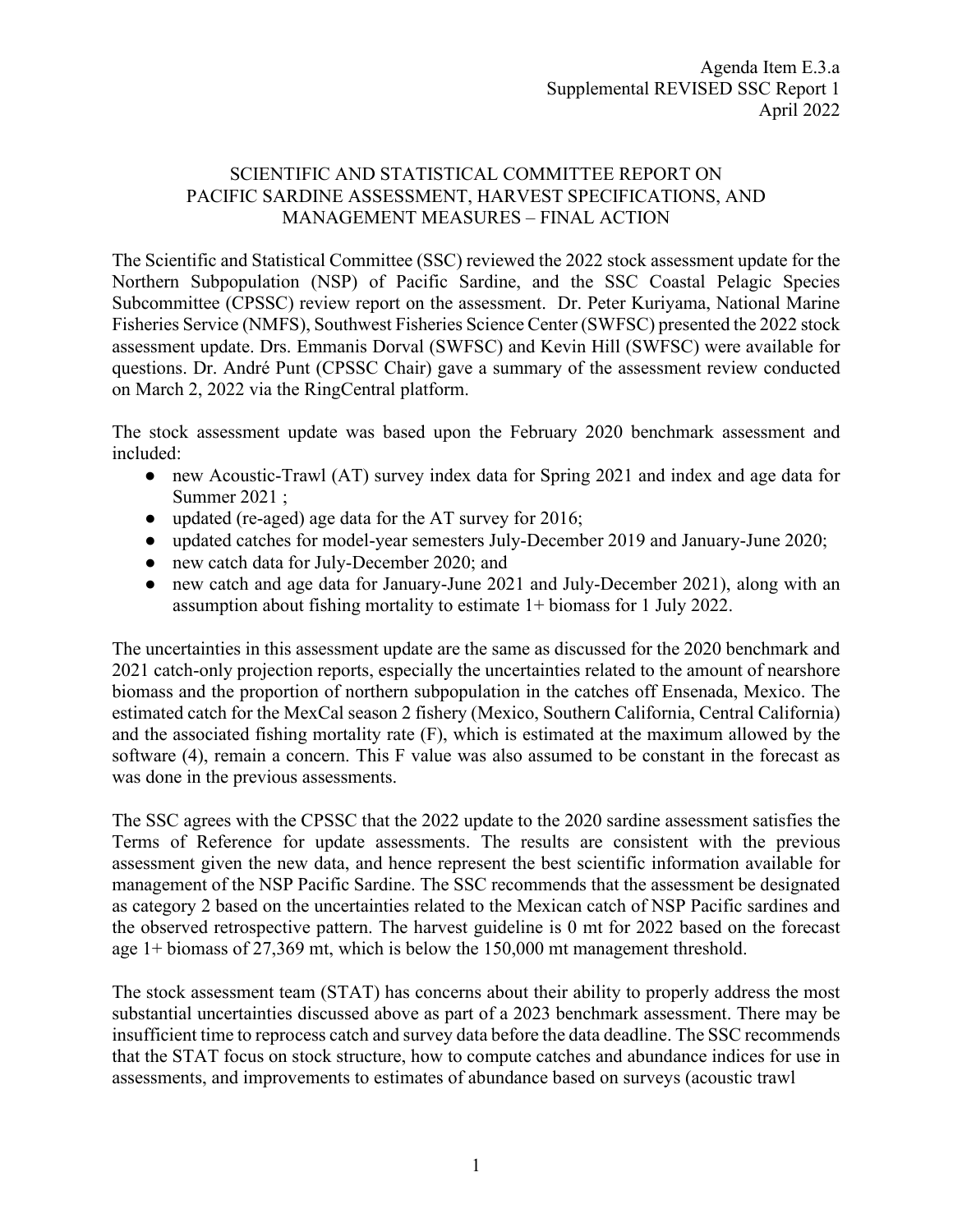## SCIENTIFIC AND STATISTICAL COMMITTEE REPORT ON PACIFIC SARDINE ASSESSMENT, HARVEST SPECIFICATIONS, AND MANAGEMENT MEASURES – FINAL ACTION

The Scientific and Statistical Committee (SSC) reviewed the 2022 stock assessment update for the Northern Subpopulation (NSP) of Pacific Sardine, and the SSC Coastal Pelagic Species Subcommittee (CPSSC) review report on the assessment. Dr. Peter Kuriyama, National Marine Fisheries Service (NMFS), Southwest Fisheries Science Center (SWFSC) presented the 2022 stock assessment update. Drs. Emmanis Dorval (SWFSC) and Kevin Hill (SWFSC) were available for questions. Dr. André Punt (CPSSC Chair) gave a summary of the assessment review conducted on March 2, 2022 via the RingCentral platform.

The stock assessment update was based upon the February 2020 benchmark assessment and included:

- new Acoustic-Trawl (AT) survey index data for Spring 2021 and index and age data for Summer 2021 ;
- updated (re-aged) age data for the AT survey for 2016;
- updated catches for model-year semesters July-December 2019 and January-June 2020;
- new catch data for July-December 2020; and
- new catch and age data for January-June 2021 and July-December 2021), along with an assumption about fishing mortality to estimate 1+ biomass for 1 July 2022.

The uncertainties in this assessment update are the same as discussed for the 2020 benchmark and 2021 catch-only projection reports, especially the uncertainties related to the amount of nearshore biomass and the proportion of northern subpopulation in the catches off Ensenada, Mexico. The estimated catch for the MexCal season 2 fishery (Mexico, Southern California, Central California) and the associated fishing mortality rate (F), which is estimated at the maximum allowed by the software (4), remain a concern. This F value was also assumed to be constant in the forecast as was done in the previous assessments.

The SSC agrees with the CPSSC that the 2022 update to the 2020 sardine assessment satisfies the Terms of Reference for update assessments. The results are consistent with the previous assessment given the new data, and hence represent the best scientific information available for management of the NSP Pacific Sardine. The SSC recommends that the assessment be designated as category 2 based on the uncertainties related to the Mexican catch of NSP Pacific sardines and the observed retrospective pattern. The harvest guideline is 0 mt for 2022 based on the forecast age 1+ biomass of 27,369 mt, which is below the 150,000 mt management threshold.

The stock assessment team (STAT) has concerns about their ability to properly address the most substantial uncertainties discussed above as part of a 2023 benchmark assessment. There may be insufficient time to reprocess catch and survey data before the data deadline. The SSC recommends that the STAT focus on stock structure, how to compute catches and abundance indices for use in assessments, and improvements to estimates of abundance based on surveys (acoustic trawl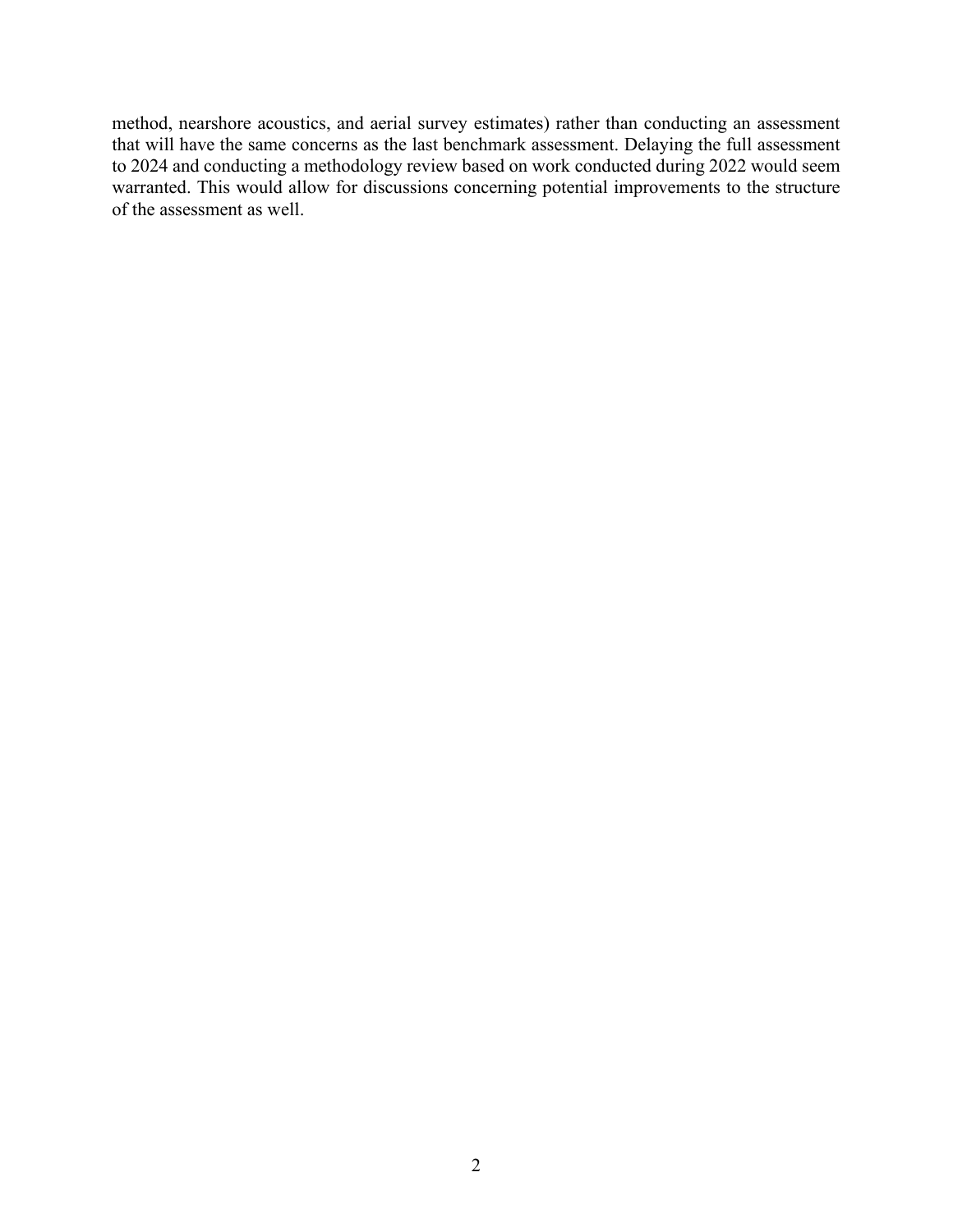method, nearshore acoustics, and aerial survey estimates) rather than conducting an assessment that will have the same concerns as the last benchmark assessment. Delaying the full assessment to 2024 and conducting a methodology review based on work conducted during 2022 would seem warranted. This would allow for discussions concerning potential improvements to the structure of the assessment as well.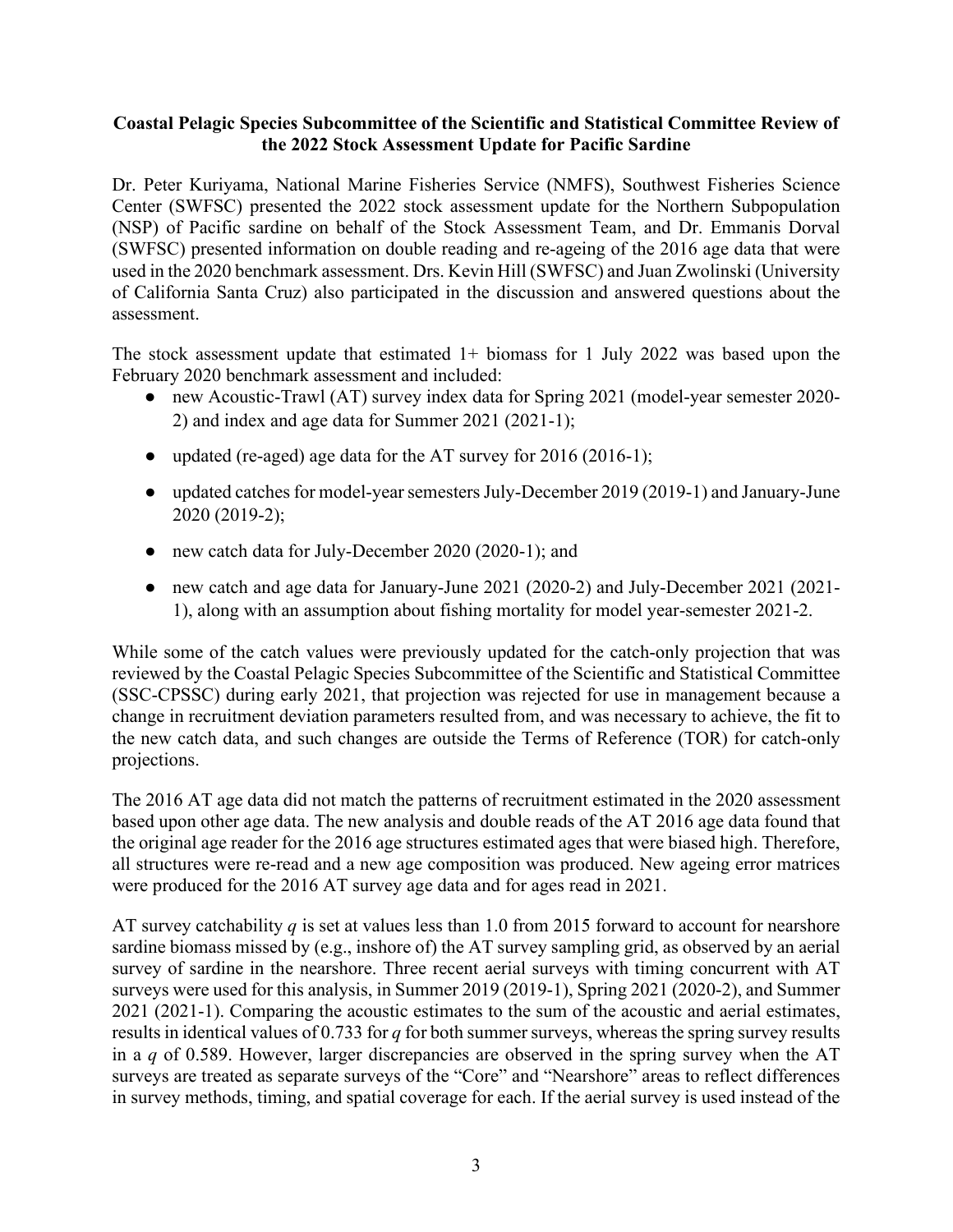## **Coastal Pelagic Species Subcommittee of the Scientific and Statistical Committee Review of the 2022 Stock Assessment Update for Pacific Sardine**

Dr. Peter Kuriyama, National Marine Fisheries Service (NMFS), Southwest Fisheries Science Center (SWFSC) presented the 2022 stock assessment update for the Northern Subpopulation (NSP) of Pacific sardine on behalf of the Stock Assessment Team, and Dr. Emmanis Dorval (SWFSC) presented information on double reading and re-ageing of the 2016 age data that were used in the 2020 benchmark assessment. Drs. Kevin Hill (SWFSC) and Juan Zwolinski (University of California Santa Cruz) also participated in the discussion and answered questions about the assessment.

The stock assessment update that estimated  $1+$  biomass for 1 July 2022 was based upon the February 2020 benchmark assessment and included:

- new Acoustic-Trawl (AT) survey index data for Spring 2021 (model-year semester 2020- 2) and index and age data for Summer 2021 (2021-1);
- updated (re-aged) age data for the AT survey for 2016 (2016-1);
- updated catches for model-year semesters July-December 2019 (2019-1) and January-June 2020 (2019-2);
- new catch data for July-December 2020 (2020-1); and
- new catch and age data for January-June 2021 (2020-2) and July-December 2021 (2021- 1), along with an assumption about fishing mortality for model year-semester 2021-2.

While some of the catch values were previously updated for the catch-only projection that was reviewed by the Coastal Pelagic Species Subcommittee of the Scientific and Statistical Committee (SSC-CPSSC) during early 2021, that projection was rejected for use in management because a change in recruitment deviation parameters resulted from, and was necessary to achieve, the fit to the new catch data, and such changes are outside the Terms of Reference (TOR) for catch-only projections.

The 2016 AT age data did not match the patterns of recruitment estimated in the 2020 assessment based upon other age data. The new analysis and double reads of the AT 2016 age data found that the original age reader for the 2016 age structures estimated ages that were biased high. Therefore, all structures were re-read and a new age composition was produced. New ageing error matrices were produced for the 2016 AT survey age data and for ages read in 2021.

AT survey catchability *q* is set at values less than 1.0 from 2015 forward to account for nearshore sardine biomass missed by (e.g., inshore of) the AT survey sampling grid, as observed by an aerial survey of sardine in the nearshore. Three recent aerial surveys with timing concurrent with AT surveys were used for this analysis, in Summer 2019 (2019-1), Spring 2021 (2020-2), and Summer 2021 (2021-1). Comparing the acoustic estimates to the sum of the acoustic and aerial estimates, results in identical values of 0.733 for *q* for both summer surveys, whereas the spring survey results in a *q* of 0.589. However, larger discrepancies are observed in the spring survey when the AT surveys are treated as separate surveys of the "Core" and "Nearshore" areas to reflect differences in survey methods, timing, and spatial coverage for each. If the aerial survey is used instead of the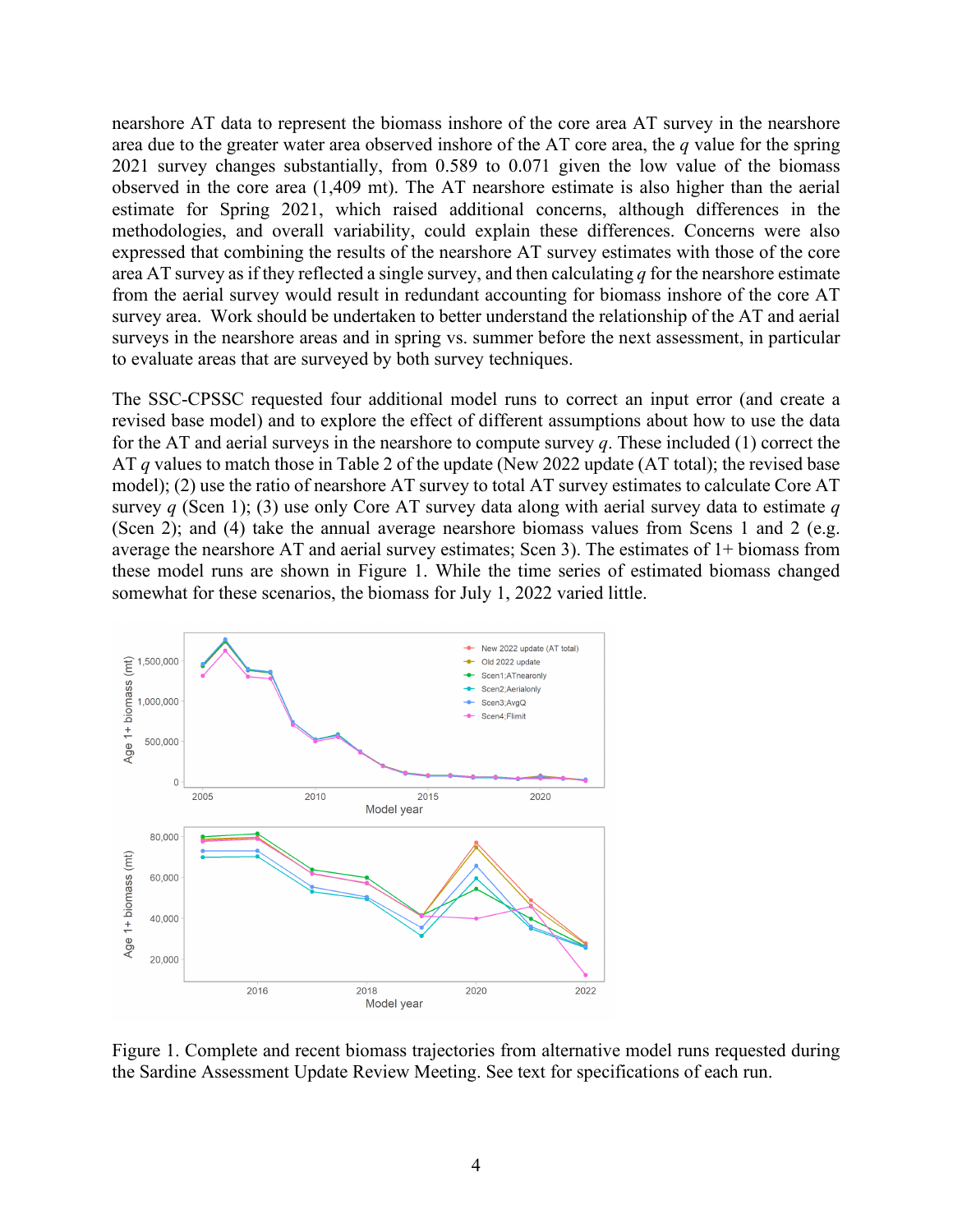nearshore AT data to represent the biomass inshore of the core area AT survey in the nearshore area due to the greater water area observed inshore of the AT core area, the *q* value for the spring 2021 survey changes substantially, from 0.589 to 0.071 given the low value of the biomass observed in the core area (1,409 mt). The AT nearshore estimate is also higher than the aerial estimate for Spring 2021, which raised additional concerns, although differences in the methodologies, and overall variability, could explain these differences. Concerns were also expressed that combining the results of the nearshore AT survey estimates with those of the core area AT survey as if they reflected a single survey, and then calculating *q* for the nearshore estimate from the aerial survey would result in redundant accounting for biomass inshore of the core AT survey area. Work should be undertaken to better understand the relationship of the AT and aerial surveys in the nearshore areas and in spring vs. summer before the next assessment, in particular to evaluate areas that are surveyed by both survey techniques.

The SSC-CPSSC requested four additional model runs to correct an input error (and create a revised base model) and to explore the effect of different assumptions about how to use the data for the AT and aerial surveys in the nearshore to compute survey *q*. These included (1) correct the AT *q* values to match those in Table 2 of the update (New 2022 update (AT total); the revised base model); (2) use the ratio of nearshore AT survey to total AT survey estimates to calculate Core AT survey *q* (Scen 1); (3) use only Core AT survey data along with aerial survey data to estimate *q*  (Scen 2); and (4) take the annual average nearshore biomass values from Scens 1 and 2 (e.g. average the nearshore AT and aerial survey estimates; Scen 3). The estimates of 1+ biomass from these model runs are shown in Figure 1. While the time series of estimated biomass changed somewhat for these scenarios, the biomass for July 1, 2022 varied little.



Figure 1. Complete and recent biomass trajectories from alternative model runs requested during the Sardine Assessment Update Review Meeting. See text for specifications of each run.